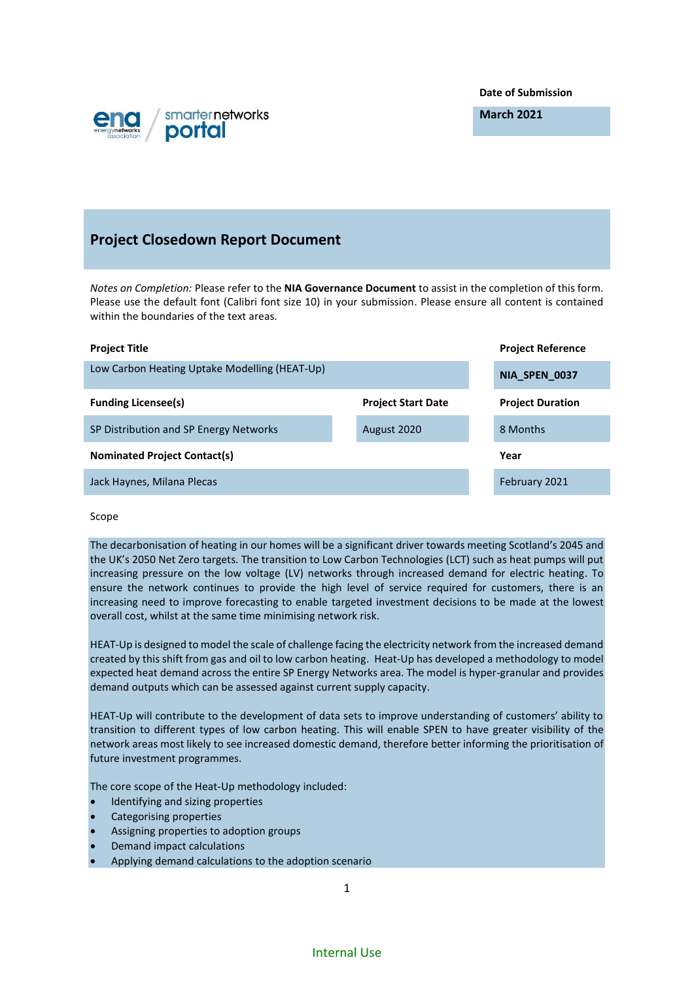**Date of Submission**

**March 2021**



# **Project Closedown Report Document**

*Notes on Completion:* Please refer to the **NIA Governance Document** to assist in the completion of this form. Please use the default font (Calibri font size 10) in your submission. Please ensure all content is contained within the boundaries of the text areas.

| <b>Project Title</b>                          |                           | <b>Project Reference</b> |
|-----------------------------------------------|---------------------------|--------------------------|
| Low Carbon Heating Uptake Modelling (HEAT-Up) |                           | NIA_SPEN_0037            |
| <b>Funding Licensee(s)</b>                    | <b>Project Start Date</b> | <b>Project Duration</b>  |
| SP Distribution and SP Energy Networks        | August 2020               | 8 Months                 |
| <b>Nominated Project Contact(s)</b>           |                           | Year                     |
| Jack Haynes, Milana Plecas                    |                           | February 2021            |

#### Scope

The decarbonisation of heating in our homes will be a significant driver towards meeting Scotland's 2045 and the UK's 2050 Net Zero targets. The transition to Low Carbon Technologies (LCT) such as heat pumps will put increasing pressure on the low voltage (LV) networks through increased demand for electric heating. To ensure the network continues to provide the high level of service required for customers, there is an increasing need to improve forecasting to enable targeted investment decisions to be made at the lowest overall cost, whilst at the same time minimising network risk.

HEAT-Up is designed to model the scale of challenge facing the electricity network from the increased demand created by this shift from gas and oil to low carbon heating. Heat-Up has developed a methodology to model expected heat demand across the entire SP Energy Networks area. The model is hyper-granular and provides demand outputs which can be assessed against current supply capacity.

HEAT-Up will contribute to the development of data sets to improve understanding of customers' ability to transition to different types of low carbon heating. This will enable SPEN to have greater visibility of the network areas most likely to see increased domestic demand, therefore better informing the prioritisation of future investment programmes.

The core scope of the Heat-Up methodology included:

- Identifying and sizing properties
- Categorising properties
- Assigning properties to adoption groups
- Demand impact calculations
- Applying demand calculations to the adoption scenario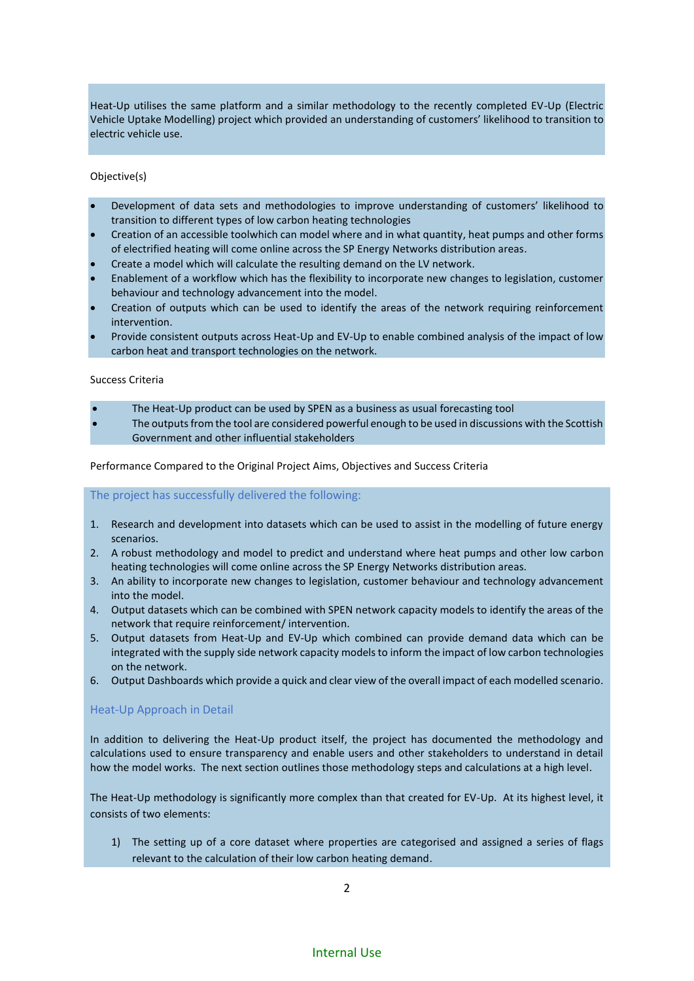Heat-Up utilises the same platform and a similar methodology to the recently completed EV-Up (Electric Vehicle Uptake Modelling) project which provided an understanding of customers' likelihood to transition to electric vehicle use.

### Objective(s)

- Development of data sets and methodologies to improve understanding of customers' likelihood to transition to different types of low carbon heating technologies
- Creation of an accessible toolwhich can model where and in what quantity, heat pumps and other forms of electrified heating will come online across the SP Energy Networks distribution areas.
- Create a model which will calculate the resulting demand on the LV network.
- Enablement of a workflow which has the flexibility to incorporate new changes to legislation, customer behaviour and technology advancement into the model.
- Creation of outputs which can be used to identify the areas of the network requiring reinforcement intervention.
- Provide consistent outputs across Heat-Up and EV-Up to enable combined analysis of the impact of low carbon heat and transport technologies on the network.

#### Success Criteria

- The Heat-Up product can be used by SPEN as a business as usual forecasting tool
- The outputs from the tool are considered powerful enough to be used in discussions with the Scottish Government and other influential stakeholders

Performance Compared to the Original Project Aims, Objectives and Success Criteria

The project has successfully delivered the following:

- 1. Research and development into datasets which can be used to assist in the modelling of future energy scenarios.
- 2. A robust methodology and model to predict and understand where heat pumps and other low carbon heating technologies will come online across the SP Energy Networks distribution areas.
- 3. An ability to incorporate new changes to legislation, customer behaviour and technology advancement into the model.
- 4. Output datasets which can be combined with SPEN network capacity models to identify the areas of the network that require reinforcement/ intervention.
- 5. Output datasets from Heat-Up and EV-Up which combined can provide demand data which can be integrated with the supply side network capacity models to inform the impact of low carbon technologies on the network.
- 6. Output Dashboards which provide a quick and clear view of the overall impact of each modelled scenario.

# Heat-Up Approach in Detail

In addition to delivering the Heat-Up product itself, the project has documented the methodology and calculations used to ensure transparency and enable users and other stakeholders to understand in detail how the model works. The next section outlines those methodology steps and calculations at a high level.

The Heat-Up methodology is significantly more complex than that created for EV-Up. At its highest level, it consists of two elements:

1) The setting up of a core dataset where properties are categorised and assigned a series of flags relevant to the calculation of their low carbon heating demand.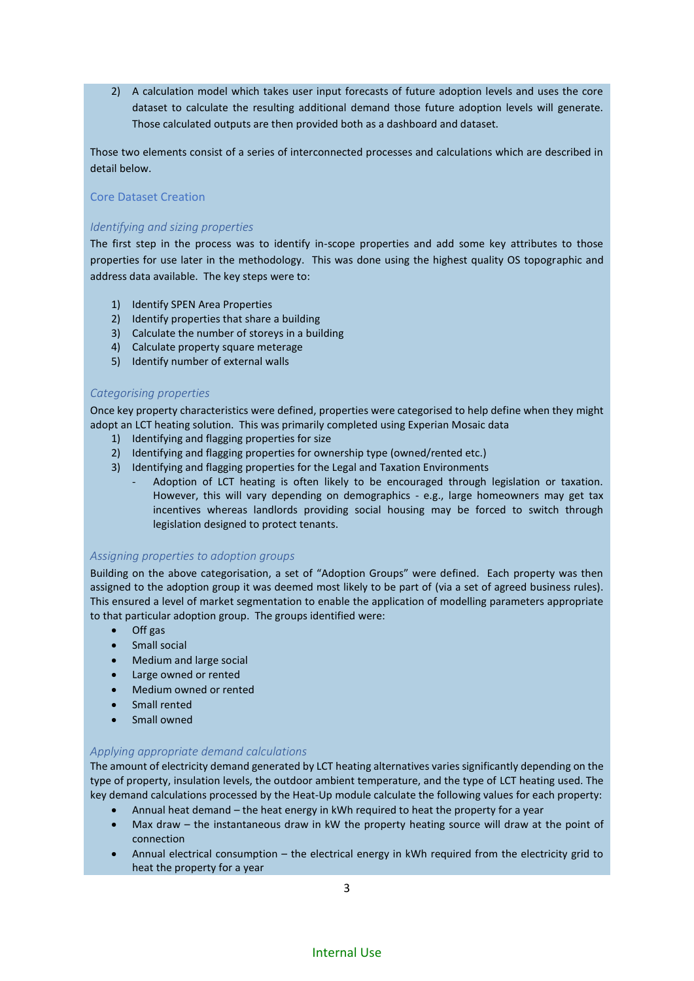2) A calculation model which takes user input forecasts of future adoption levels and uses the core dataset to calculate the resulting additional demand those future adoption levels will generate. Those calculated outputs are then provided both as a dashboard and dataset.

Those two elements consist of a series of interconnected processes and calculations which are described in detail below.

# Core Dataset Creation

# *Identifying and sizing properties*

The first step in the process was to identify in-scope properties and add some key attributes to those properties for use later in the methodology. This was done using the highest quality OS topographic and address data available. The key steps were to:

- 1) Identify SPEN Area Properties
- 2) Identify properties that share a building
- 3) Calculate the number of storeys in a building
- 4) Calculate property square meterage
- 5) Identify number of external walls

### *Categorising properties*

Once key property characteristics were defined, properties were categorised to help define when they might adopt an LCT heating solution. This was primarily completed using Experian Mosaic data

- 1) Identifying and flagging properties for size
- 2) Identifying and flagging properties for ownership type (owned/rented etc.)
- 3) Identifying and flagging properties for the Legal and Taxation Environments
	- Adoption of LCT heating is often likely to be encouraged through legislation or taxation. However, this will vary depending on demographics - e.g., large homeowners may get tax incentives whereas landlords providing social housing may be forced to switch through legislation designed to protect tenants.

# *Assigning properties to adoption groups*

Building on the above categorisation, a set of "Adoption Groups" were defined. Each property was then assigned to the adoption group it was deemed most likely to be part of (via a set of agreed business rules). This ensured a level of market segmentation to enable the application of modelling parameters appropriate to that particular adoption group. The groups identified were:

- Off gas
- Small social
- Medium and large social
- Large owned or rented
- Medium owned or rented
- Small rented
- Small owned

# *Applying appropriate demand calculations*

The amount of electricity demand generated by LCT heating alternatives varies significantly depending on the type of property, insulation levels, the outdoor ambient temperature, and the type of LCT heating used. The key demand calculations processed by the Heat-Up module calculate the following values for each property:

- Annual heat demand the heat energy in kWh required to heat the property for a year
- Max draw the instantaneous draw in kW the property heating source will draw at the point of connection
- Annual electrical consumption the electrical energy in kWh required from the electricity grid to heat the property for a year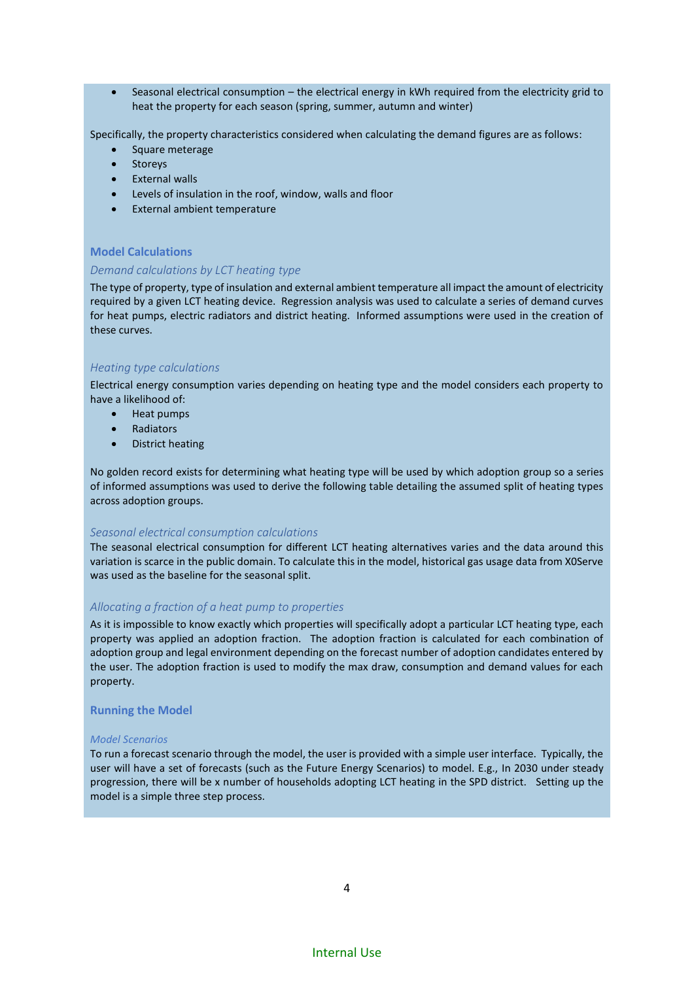• Seasonal electrical consumption – the electrical energy in kWh required from the electricity grid to heat the property for each season (spring, summer, autumn and winter)

Specifically, the property characteristics considered when calculating the demand figures are as follows:

- Square meterage
- Storeys
- External walls
- Levels of insulation in the roof, window, walls and floor
- External ambient temperature

# **Model Calculations**

### *Demand calculations by LCT heating type*

The type of property, type of insulation and external ambient temperature all impact the amount of electricity required by a given LCT heating device. Regression analysis was used to calculate a series of demand curves for heat pumps, electric radiators and district heating. Informed assumptions were used in the creation of these curves.

# *Heating type calculations*

Electrical energy consumption varies depending on heating type and the model considers each property to have a likelihood of:

- Heat pumps
- Radiators
- District heating

No golden record exists for determining what heating type will be used by which adoption group so a series of informed assumptions was used to derive the following table detailing the assumed split of heating types across adoption groups.

#### *Seasonal electrical consumption calculations*

The seasonal electrical consumption for different LCT heating alternatives varies and the data around this variation is scarce in the public domain. To calculate this in the model, historical gas usage data from X0Serve was used as the baseline for the seasonal split.

# *Allocating a fraction of a heat pump to properties*

As it is impossible to know exactly which properties will specifically adopt a particular LCT heating type, each property was applied an adoption fraction. The adoption fraction is calculated for each combination of adoption group and legal environment depending on the forecast number of adoption candidates entered by the user. The adoption fraction is used to modify the max draw, consumption and demand values for each property.

#### **Running the Model**

#### *Model Scenarios*

To run a forecast scenario through the model, the user is provided with a simple user interface. Typically, the user will have a set of forecasts (such as the Future Energy Scenarios) to model. E.g., In 2030 under steady progression, there will be x number of households adopting LCT heating in the SPD district. Setting up the model is a simple three step process.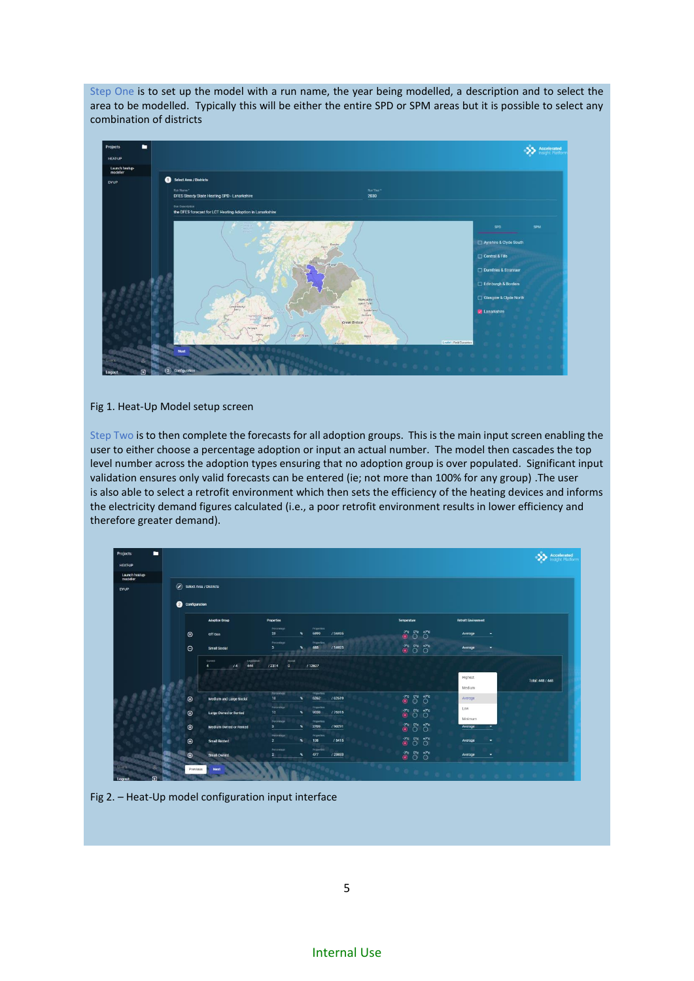Step One is to set up the model with a run name, the year being modelled, a description and to select the area to be modelled. Typically this will be either the entire SPD or SPM areas but it is possible to select any combination of districts



# Fig 1. Heat-Up Model setup screen

Step Two is to then complete the forecasts for all adoption groups. This is the main input screen enabling the user to either choose a percentage adoption or input an actual number. The model then cascades the top level number across the adoption types ensuring that no adoption group is over populated. Significant input validation ensures only valid forecasts can be entered (ie; not more than 100% for any group) .The user is also able to select a retrofit environment which then sets the efficiency of the heating devices and informs the electricity demand figures calculated (i.e., a poor retrofit environment results in lower efficiency and therefore greater demand).

|                            |                         |                                                       |                                                                             |                                                                                      |                             | <b>Accelerated</b><br><b>Insight Platform</b><br>a a |
|----------------------------|-------------------------|-------------------------------------------------------|-----------------------------------------------------------------------------|--------------------------------------------------------------------------------------|-----------------------------|------------------------------------------------------|
| <b>HEAT-UP</b>             |                         |                                                       |                                                                             |                                                                                      |                             |                                                      |
| Launch heatup-<br>modeller |                         |                                                       |                                                                             |                                                                                      |                             |                                                      |
| <b>EV-UP</b>               | Select Area / Districts |                                                       |                                                                             |                                                                                      |                             |                                                      |
|                            | Configuration           |                                                       |                                                                             |                                                                                      |                             |                                                      |
|                            |                         | <b>Adoption Group</b>                                 | <b>Properties</b>                                                           | <b>Temperature</b>                                                                   | <b>Retrofit Environment</b> |                                                      |
|                            | $\odot$                 | Off Gas                                               | Percentage<br>Properties.<br>20<br>6899<br>/34495<br>$\mathbf{x}$           | $\overline{0}$ $\overline{0}$ $\overline{0}$ $\overline{0}$                          | Average<br>۰                |                                                      |
|                            | $\Theta$                | Small Social                                          | Percentage<br>Properties<br>/ 14925<br>448<br>$\mathbf{3}$<br>$\mathbf{x}$  | $\sum_{i=1}^{n}$ or $\sum_{i=1}^{n}$                                                 | Average<br>×.               |                                                      |
|                            |                         | Legislatve<br>Current.<br>444<br>/4<br>$\blacksquare$ | bocial<br>12314<br>$\bullet$<br>/12607                                      |                                                                                      |                             |                                                      |
|                            | ×<br>R                  |                                                       |                                                                             |                                                                                      | Highest                     | Total: 448 / 448                                     |
| P<br>×                     |                         |                                                       | <b>Percentage</b><br>Properties                                             |                                                                                      | Medium                      |                                                      |
|                            | $\oplus$                | Medium and Large Social                               | 6262<br>$\mathbf{x}$<br>/ 62619<br>10                                       | $\overset{\cdot r_c}{\circledcirc}$ or<br>e $\overset{\cdot r_c}{\circlearrowright}$ | Average                     |                                                      |
|                            |                         |                                                       | Percentage<br>Properties                                                    |                                                                                      | Low                         |                                                      |
|                            | $\oplus$                | Large Owned or Rented                                 | 12<br>9038<br>/75315<br>$\mathbf{x}$                                        |                                                                                      |                             |                                                      |
|                            |                         |                                                       | Pecemage<br>Properties<br>$\overline{\mathbf{3}}$                           |                                                                                      | Minimum                     |                                                      |
|                            | $\odot$                 | <b>Medium Owned or Rented</b>                         | 2709<br>$\mathbf{x}$<br>/90291<br>Percentage<br>Properties                  | $\overbrace{0}^{Tc}$ or $Tc$                                                         | Average                     |                                                      |
|                            | $\odot$                 | Small Rented                                          | 108<br>/5415<br>$\mathbf{x}$<br>$\overline{z}$                              | $\overline{\bullet}^r$ or $\overline{\bullet}^r$                                     | Average<br>٠                |                                                      |
|                            | $\bigoplus$             | Small Owned                                           | Properties<br>Percentage<br>/23833<br>477<br>$\mathbf{x}$<br>$\overline{ }$ | $\sum_{i=1}^{n} a_i$<br>                                                             | Average<br>٠                |                                                      |

Fig 2. – Heat-Up model configuration input interface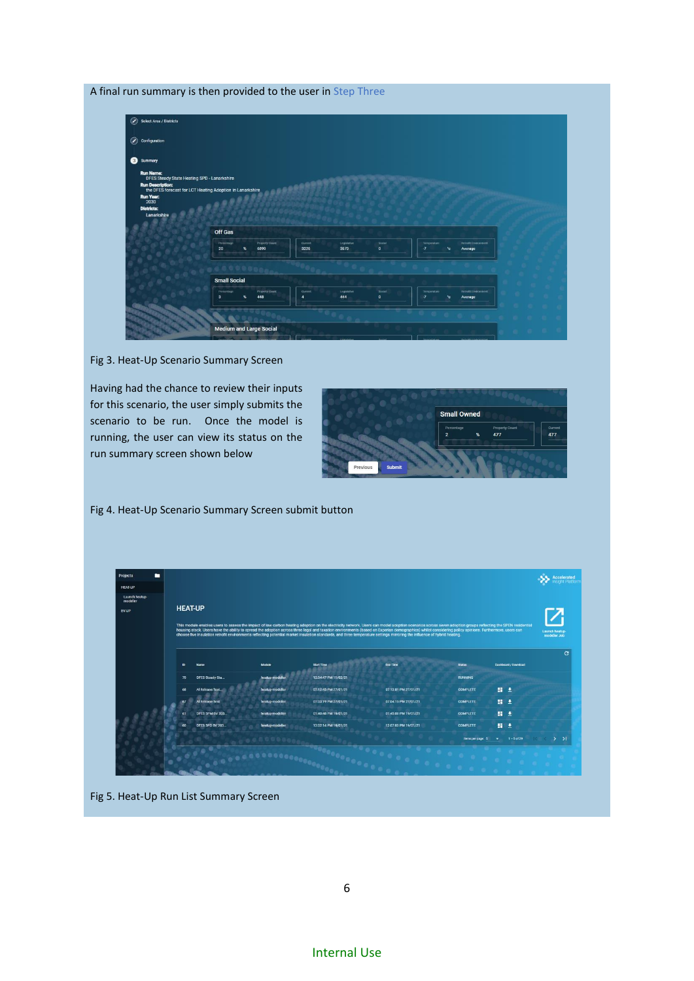A final run summary is then provided to the user in Step Three



Fig 3. Heat-Up Scenario Summary Screen

Having had the chance to review their inputs for this scenario, the user simply submits the scenario to be run. Once the model is running, the user can view its status on the run summary screen shown below



## Fig 4. Heat-Up Scenario Summary Screen submit button



Fig 5. Heat-Up Run List Summary Screen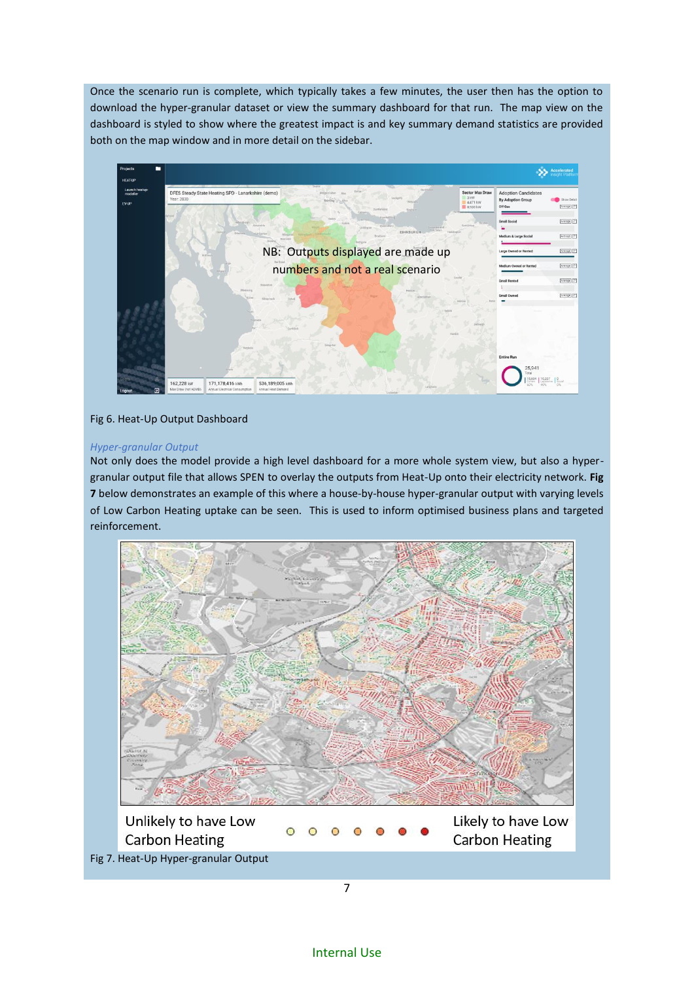Once the scenario run is complete, which typically takes a few minutes, the user then has the option to download the hyper-granular dataset or view the summary dashboard for that run. The map view on the dashboard is styled to show where the greatest impact is and key summary demand statistics are provided both on the map window and in more detail on the sidebar.



# Fig 6. Heat-Up Output Dashboard

### *Hyper-granular Output*

Not only does the model provide a high level dashboard for a more whole system view, but also a hypergranular output file that allows SPEN to overlay the outputs from Heat-Up onto their electricity network. **Fig 7** below demonstrates an example of this where a house-by-house hyper-granular output with varying levels of Low Carbon Heating uptake can be seen. This is used to inform optimised business plans and targeted reinforcement.

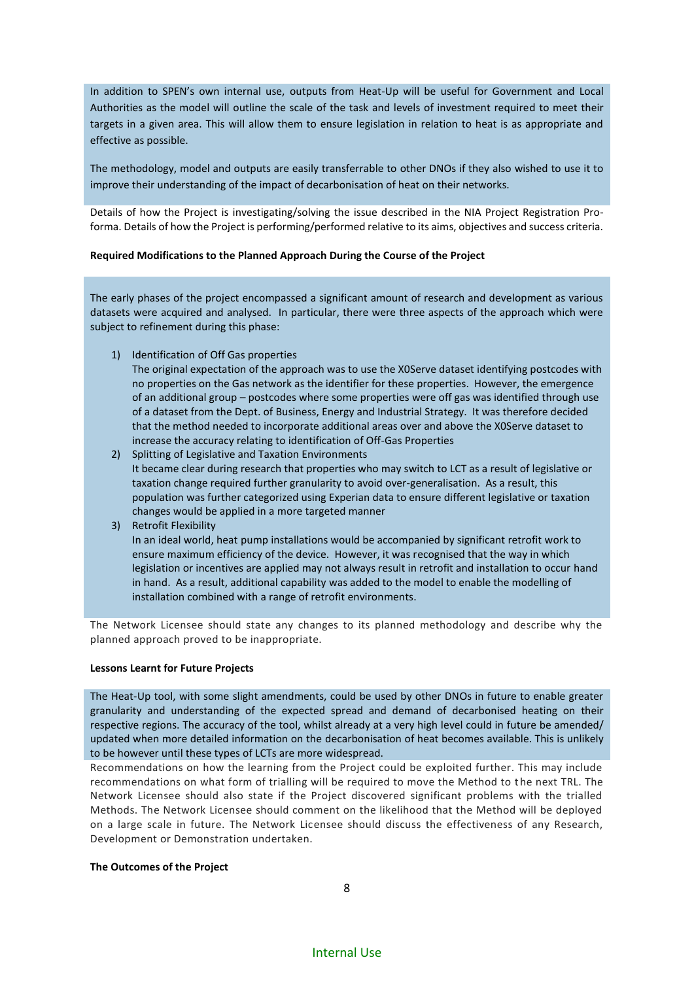In addition to SPEN's own internal use, outputs from Heat-Up will be useful for Government and Local Authorities as the model will outline the scale of the task and levels of investment required to meet their targets in a given area. This will allow them to ensure legislation in relation to heat is as appropriate and effective as possible.

The methodology, model and outputs are easily transferrable to other DNOs if they also wished to use it to improve their understanding of the impact of decarbonisation of heat on their networks.

Details of how the Project is investigating/solving the issue described in the NIA Project Registration Proforma. Details of how the Project is performing/performed relative to its aims, objectives and success criteria.

#### **Required Modifications to the Planned Approach During the Course of the Project**

The early phases of the project encompassed a significant amount of research and development as various datasets were acquired and analysed. In particular, there were three aspects of the approach which were subject to refinement during this phase:

1) Identification of Off Gas properties

The original expectation of the approach was to use the X0Serve dataset identifying postcodes with no properties on the Gas network as the identifier for these properties. However, the emergence of an additional group – postcodes where some properties were off gas was identified through use of a dataset from the Dept. of Business, Energy and Industrial Strategy. It was therefore decided that the method needed to incorporate additional areas over and above the X0Serve dataset to increase the accuracy relating to identification of Off-Gas Properties

- 2) Splitting of Legislative and Taxation Environments It became clear during research that properties who may switch to LCT as a result of legislative or taxation change required further granularity to avoid over-generalisation. As a result, this population was further categorized using Experian data to ensure different legislative or taxation changes would be applied in a more targeted manner
- 3) Retrofit Flexibility

In an ideal world, heat pump installations would be accompanied by significant retrofit work to ensure maximum efficiency of the device. However, it was recognised that the way in which legislation or incentives are applied may not always result in retrofit and installation to occur hand in hand. As a result, additional capability was added to the model to enable the modelling of installation combined with a range of retrofit environments.

The Network Licensee should state any changes to its planned methodology and describe why the planned approach proved to be inappropriate.

#### **Lessons Learnt for Future Projects**

The Heat-Up tool, with some slight amendments, could be used by other DNOs in future to enable greater granularity and understanding of the expected spread and demand of decarbonised heating on their respective regions. The accuracy of the tool, whilst already at a very high level could in future be amended/ updated when more detailed information on the decarbonisation of heat becomes available. This is unlikely to be however until these types of LCTs are more widespread.

Recommendations on how the learning from the Project could be exploited further. This may include recommendations on what form of trialling will be required to move the Method to the next TRL. The Network Licensee should also state if the Project discovered significant problems with the trialled Methods. The Network Licensee should comment on the likelihood that the Method will be deployed on a large scale in future. The Network Licensee should discuss the effectiveness of any Research, Development or Demonstration undertaken.

#### **The Outcomes of the Project**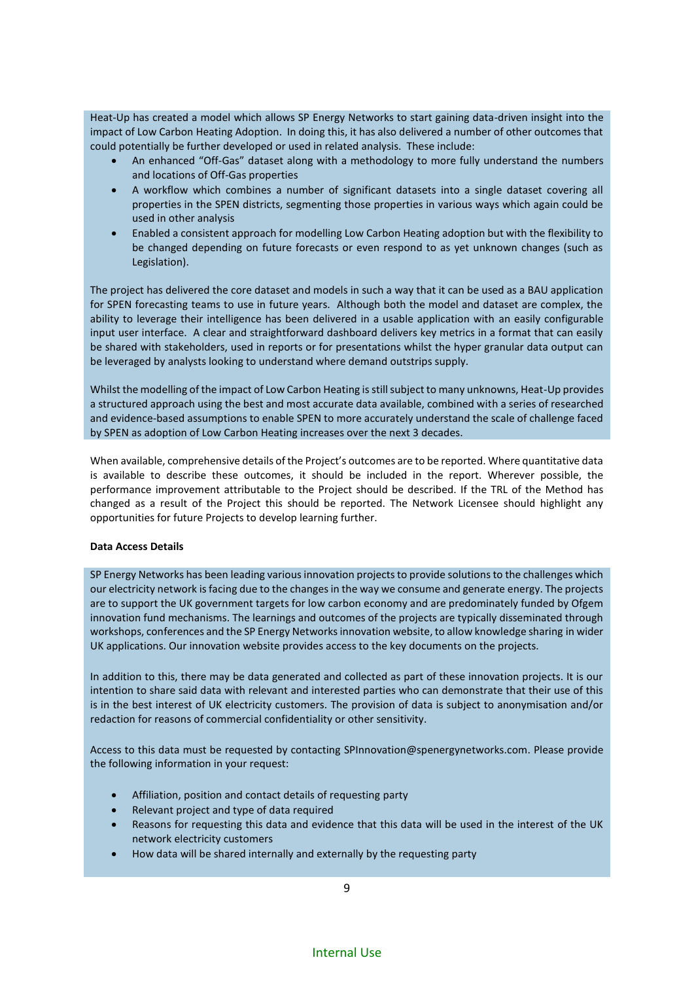Heat-Up has created a model which allows SP Energy Networks to start gaining data-driven insight into the impact of Low Carbon Heating Adoption. In doing this, it has also delivered a number of other outcomes that could potentially be further developed or used in related analysis. These include:

- An enhanced "Off-Gas" dataset along with a methodology to more fully understand the numbers and locations of Off-Gas properties
- A workflow which combines a number of significant datasets into a single dataset covering all properties in the SPEN districts, segmenting those properties in various ways which again could be used in other analysis
- Enabled a consistent approach for modelling Low Carbon Heating adoption but with the flexibility to be changed depending on future forecasts or even respond to as yet unknown changes (such as Legislation).

The project has delivered the core dataset and models in such a way that it can be used as a BAU application for SPEN forecasting teams to use in future years. Although both the model and dataset are complex, the ability to leverage their intelligence has been delivered in a usable application with an easily configurable input user interface. A clear and straightforward dashboard delivers key metrics in a format that can easily be shared with stakeholders, used in reports or for presentations whilst the hyper granular data output can be leveraged by analysts looking to understand where demand outstrips supply.

Whilst the modelling of the impact of Low Carbon Heating is still subject to many unknowns, Heat-Up provides a structured approach using the best and most accurate data available, combined with a series of researched and evidence-based assumptions to enable SPEN to more accurately understand the scale of challenge faced by SPEN as adoption of Low Carbon Heating increases over the next 3 decades.

When available, comprehensive details of the Project's outcomes are to be reported. Where quantitative data is available to describe these outcomes, it should be included in the report. Wherever possible, the performance improvement attributable to the Project should be described. If the TRL of the Method has changed as a result of the Project this should be reported. The Network Licensee should highlight any opportunities for future Projects to develop learning further.

# **Data Access Details**

SP Energy Networks has been leading various innovation projects to provide solutions to the challenges which our electricity network is facing due to the changes in the way we consume and generate energy. The projects are to support the UK government targets for low carbon economy and are predominately funded by Ofgem innovation fund mechanisms. The learnings and outcomes of the projects are typically disseminated through workshops, conferences and the SP Energy Networks innovation website, to allow knowledge sharing in wider UK applications. Our innovation website provides access to the key documents on the projects.

In addition to this, there may be data generated and collected as part of these innovation projects. It is our intention to share said data with relevant and interested parties who can demonstrate that their use of this is in the best interest of UK electricity customers. The provision of data is subject to anonymisation and/or redaction for reasons of commercial confidentiality or other sensitivity.

Access to this data must be requested by contacting [SPInnovation@spenergynetworks.com.](mailto:SPInnovation@spenergynetworks.com) Please provide the following information in your request:

- Affiliation, position and contact details of requesting party
- Relevant project and type of data required
- Reasons for requesting this data and evidence that this data will be used in the interest of the UK network electricity customers
- How data will be shared internally and externally by the requesting party